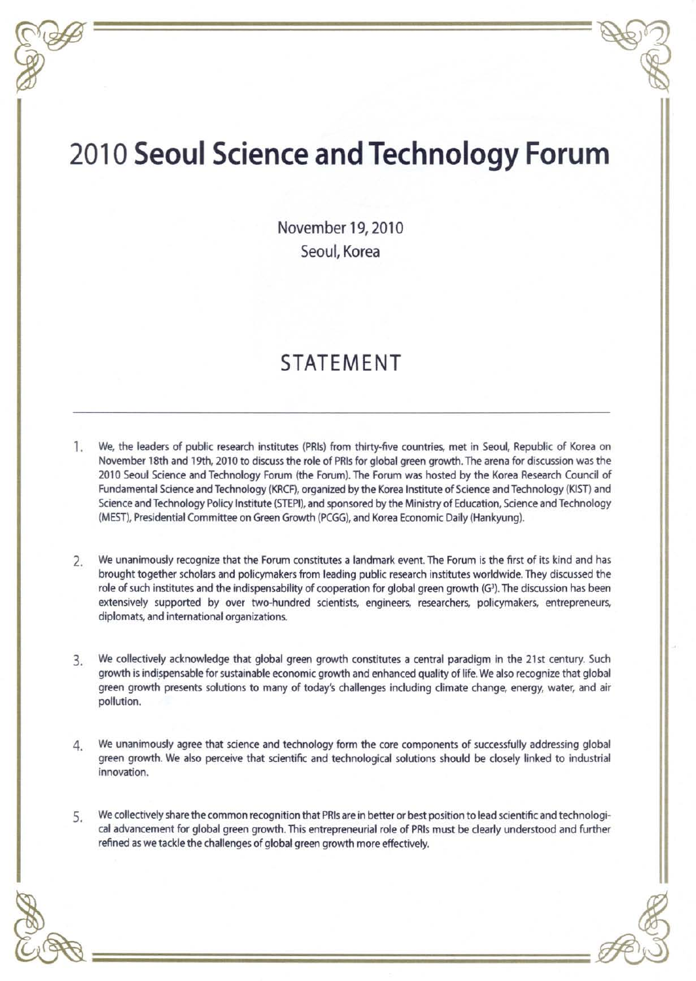## 2010 **Seoul Science and Technology Forum**

November 19, 2010 Seoul, Korea

## STATEMENT

- 1. We. the leaders of public research institutes (PRls) from thirty-five countries, met in Seoul Republic of Korea on November 18th and 19th, 2010 to discuss the role of PRls for global green growth. The arena for discussion was the 2010 Seoul Science and Technology Forum (the Forum). The Forum was hosted by the Korea Research Council of Fundamental Science and Technology (KRCF), organized by the Korea Institute of Science and Technology (KIST) and Science and Technology Policy Institute (STEPIl, and sponsored by the Ministry of Education, Science and Technology (MEST), Presidential Committee on Green Growth (PCGG), and Korea Economic Daily (Hankyung).
- 2, We unanimously recognize that the Forum constitutes a landmark event. The Forum is the first of its kind and has brought together scholars and policymakers from leading public research institutes worldwide. They discussed the role of such institutes and the indispensability of cooperation for global green growth (G3). The discussion has been extensively supported by over two-hundred scientists, engineers, researchers, policymakers, entrepreneurs, diplomats, and international organizations.
- 3. We collectively acknowledge that global green growth constitutes a central paradigm in the 21st century. Such growth is indispensable for sustainable economic growth and enhanced quality of life. We also recognize that global green growth presents solutions to many of today's challenges including climate change, energy, water, and air pollution.
- 4. We unanimously agree that science and technology form the core components of successfully addressing global green growth. We also perceive that scientific and technological solutions should be closely linked to industrial innovation.
- 5. We collectively share the common recognition that PRls are in better or best position to lead scientific and technological advancement for global green growth. This entrepreneurial role of PRls must be clearly understood and further refined as we tackle the challenges of global green growth more effectively.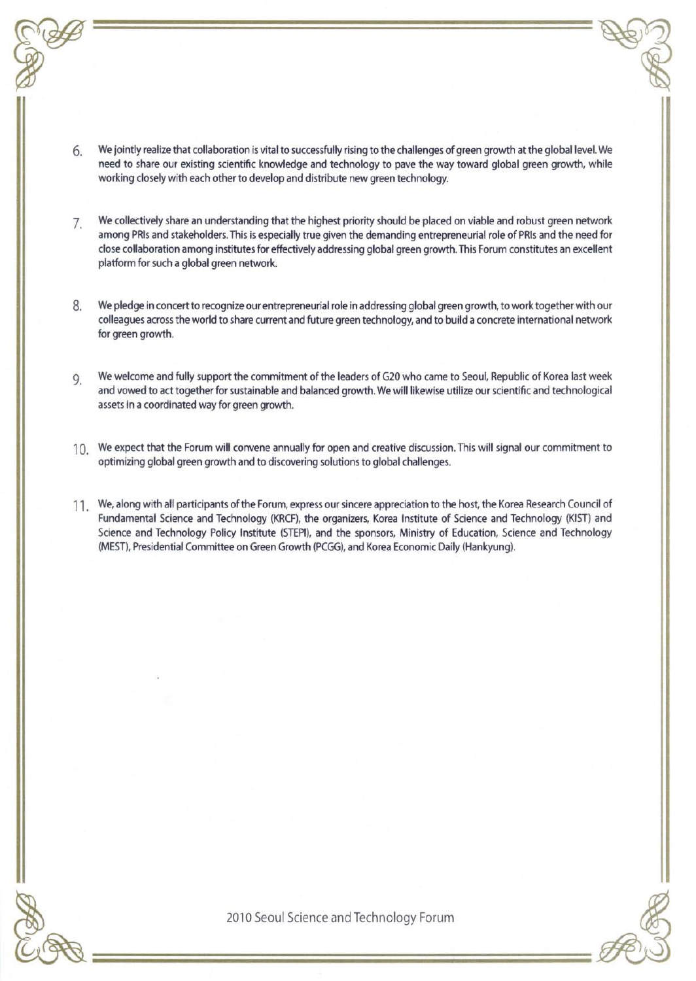- 6. We jointly realize that collaboration is vital to successfully rising to the challenges of green growth at the global level.We need to share our existing scientific knowledge and technology to pave the way toward global green growth, while working closely with each other to develop and distribute new green technology.
- 7. We collectively share an understanding that the highest priority should be placed on viable and robust green network among PRls and stakeholders.This is especially true given the demanding entrepreneurial role of PRls and the need for close collaboration among institutes for effectively addressing global green growth. This Forum constitutes an excellent platform for such a global green network.
- 8. We pledge in concertto recognize our entrepreneurial role in addressing global green growth, to work togetherwith our colleagues across the world to share current and future green technology, and to build a concrete international network for green growth.
- 9. We welcome and fully support the commitment of the leaders of G20 who came to Seoul, Republic of Korea last week and vowed to act together for sustainable and balanced growth. We will likewise utilize ourscientific and technological assets in a coordinated way for green growth.
- 10. We expect that the Forum will convene annually for open and creative discussion. This will signal our commitment to optimizing global green growth and to discovering solutionsto global challenges.
- 11. We, along with all participants of the Forum, express our sincere appreciation to the host, the Korea Research Council of Fundamental Science and Technology (KRCF), the organizers, Korea Institute of Science and Technology (KIST) and Science and Technology Policy Institute (STEPI), and the sponsors, Ministry of Education, Science and Technology (MEST), Presidential Committee on Green Growth (PCGG), and Korea Economic Daily (Hankyung).

2010 Seoul Science and Technology Forum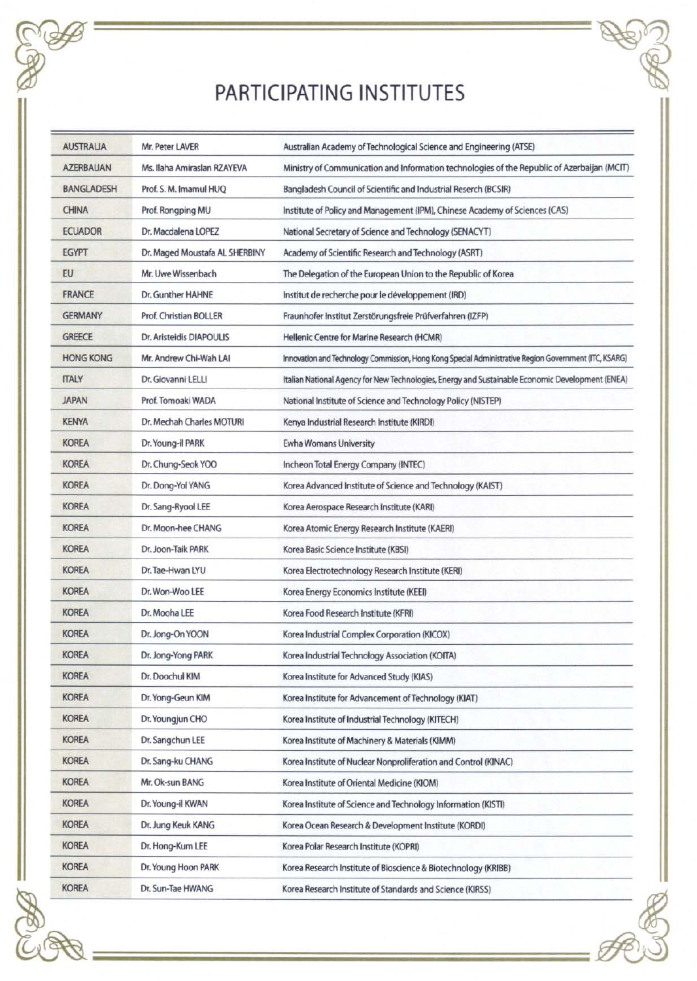## PARTICIPATING INSTITUTES

| <b>AUSTRALIA</b>  | Mr. Peter LAVER                | Australian Academy of Technological Science and Engineering (ATSE)                                    |
|-------------------|--------------------------------|-------------------------------------------------------------------------------------------------------|
| <b>AZERBAUAN</b>  | Ms. Ilaha Amiraslan RZAYEVA    | Ministry of Communication and Information technologies of the Republic of Azerbaijan (MCIT)           |
| <b>BANGLADESH</b> | Prof. S. M. Imamul HUQ         | Bangladesh Council of Scientific and Industrial Reserch (BCSIR)                                       |
| <b>CHINA</b>      | Prof. Rongping MU              | Institute of Policy and Management (IPM), Chinese Academy of Sciences (CAS)                           |
| <b>ECUADOR</b>    | Dr. Macdalena LOPEZ            | National Secretary of Science and Technology (SENACYT)                                                |
| <b>EGYPT</b>      | Dr. Maged Moustafa AL SHERBINY | Academy of Scientific Research and Technology (ASRT)                                                  |
| EU                | Mr. Uwe Wissenbach             | The Delegation of the European Union to the Republic of Korea                                         |
| <b>FRANCE</b>     | Dr. Gunther HAHNE              | Institut de recherche pour le développement (IRD)                                                     |
| <b>GERMANY</b>    | Prof. Christian BOLLER         | Fraunhofer Institut Zerstörungsfreie Prüfverfahren (IZFP)                                             |
| <b>GREECE</b>     | Dr. Aristeidis DIAPOULIS       | Hellenic Centre for Marine Research (HCMR)                                                            |
| <b>HONG KONG</b>  | Mr. Andrew Chi-Wah LAI         | Innovation and Technology Commission, Hong Kong Special Administrative Region Government (ITC, KSARG) |
| <b>ITALY</b>      | Dr. Giovanni LELLI             | Italian National Agency for New Technologies, Energy and Sustainable Economic Development (ENEA)      |
| <b>JAPAN</b>      | Prof. Tomoaki WADA             | National Institute of Science and Technology Policy (NISTEP)                                          |
| <b>KENYA</b>      | Dr. Mechah Charles MOTURI      | Kenya Industrial Research Institute (KIRDI)                                                           |
| <b>KOREA</b>      | Dr. Young-il PARK              | <b>Ewha Womans University</b>                                                                         |
| <b>KOREA</b>      | Dr. Chung-Seok YOO             | Incheon Total Energy Company (INTEC)                                                                  |
| <b>KOREA</b>      | Dr. Dong-Yol YANG              | Korea Advanced Institute of Science and Technology (KAIST)                                            |
| <b>KOREA</b>      | Dr. Sang-Ryool LEE             | Korea Aerospace Research Institute (KARI)                                                             |
| <b>KOREA</b>      | Dr. Moon-hee CHANG             | Korea Atomic Energy Research Institute (KAERI)                                                        |
| <b>KOREA</b>      | Dr. Joon-Taik PARK             | Korea Basic Science Institute (KBSI)                                                                  |
| <b>KOREA</b>      | Dr. Tae-Hwan LYU               | Korea Electrotechnology Research Institute (KERI)                                                     |
| <b>KOREA</b>      | Dr. Won-Woo LEE                | Korea Energy Economics Institute (KEEI)                                                               |
| <b>KOREA</b>      | Dr. Mooha LEE                  | Korea Food Research Institute (KFRI)                                                                  |
| <b>KOREA</b>      | Dr. Jong-On YOON               | Korea Industrial Complex Corporation (KICOX)                                                          |
| <b>KOREA</b>      | Dr. Jong-Yong PARK             | Korea Industrial Technology Association (KOITA)                                                       |
| <b>KOREA</b>      | Dr. Doochul KIM                | Korea Institute for Advanced Study (KIAS)                                                             |
| <b>KOREA</b>      | Dr. Yong-Geun KIM              | Korea Institute for Advancement of Technology (KIAT)                                                  |
| <b>KOREA</b>      | Dr. Youngjun CHO               | Korea Institute of Industrial Technology (KITECH)                                                     |
| <b>KOREA</b>      | Dr. Sangchun LEE               | Korea Institute of Machinery & Materials (KIMM)                                                       |
| <b>KOREA</b>      | Dr. Sang-ku CHANG              | Korea Institute of Nuclear Nonproliferation and Control (KINAC)                                       |
| <b>KOREA</b>      | Mr. Ok-sun BANG                | Korea Institute of Oriental Medicine (KIOM)                                                           |
| <b>KOREA</b>      | Dr. Young-il KWAN              | Korea Institute of Science and Technology Information (KISTI)                                         |
| <b>KOREA</b>      | Dr. Jung Keuk KANG             | Korea Ocean Research & Development Institute (KORDI)                                                  |
| <b>KOREA</b>      | Dr. Hong-Kum LEE               | Korea Polar Research Institute (KOPRI)                                                                |
| <b>KOREA</b>      | Dr. Young Hoon PARK            | Korea Research Institute of Bioscience & Biotechnology (KRIBB)                                        |
| <b>KOREA</b>      | Dr. Sun-Tae HWANG              | Korea Research Institute of Standards and Science (KIRSS)                                             |